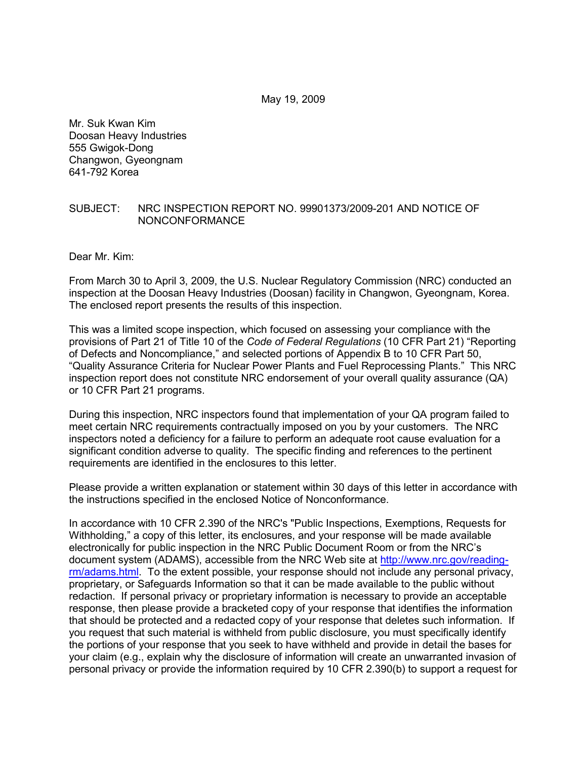May 19, 2009

Mr. Suk Kwan Kim Doosan Heavy Industries 555 Gwigok-Dong Changwon, Gyeongnam 641-792 Korea

#### SUBJECT: NRC INSPECTION REPORT NO. 99901373/2009-201 AND NOTICE OF NONCONFORMANCE

Dear Mr. Kim:

From March 30 to April 3, 2009, the U.S. Nuclear Regulatory Commission (NRC) conducted an inspection at the Doosan Heavy Industries (Doosan) facility in Changwon, Gyeongnam, Korea. The enclosed report presents the results of this inspection.

This was a limited scope inspection, which focused on assessing your compliance with the provisions of Part 21 of Title 10 of the *Code of Federal Regulations* (10 CFR Part 21) "Reporting of Defects and Noncompliance," and selected portions of Appendix B to 10 CFR Part 50, "Quality Assurance Criteria for Nuclear Power Plants and Fuel Reprocessing Plants." This NRC inspection report does not constitute NRC endorsement of your overall quality assurance (QA) or 10 CFR Part 21 programs.

During this inspection, NRC inspectors found that implementation of your QA program failed to meet certain NRC requirements contractually imposed on you by your customers. The NRC inspectors noted a deficiency for a failure to perform an adequate root cause evaluation for a significant condition adverse to quality. The specific finding and references to the pertinent requirements are identified in the enclosures to this letter.

Please provide a written explanation or statement within 30 days of this letter in accordance with the instructions specified in the enclosed Notice of Nonconformance.

In accordance with 10 CFR 2.390 of the NRC's "Public Inspections, Exemptions, Requests for Withholding," a copy of this letter, its enclosures, and your response will be made available electronically for public inspection in the NRC Public Document Room or from the NRC's document system (ADAMS), accessible from the NRC Web site at http://www.nrc.gov/readingrm/adams.html. To the extent possible, your response should not include any personal privacy, proprietary, or Safeguards Information so that it can be made available to the public without redaction. If personal privacy or proprietary information is necessary to provide an acceptable response, then please provide a bracketed copy of your response that identifies the information that should be protected and a redacted copy of your response that deletes such information. If you request that such material is withheld from public disclosure, you must specifically identify the portions of your response that you seek to have withheld and provide in detail the bases for your claim (e.g., explain why the disclosure of information will create an unwarranted invasion of personal privacy or provide the information required by 10 CFR 2.390(b) to support a request for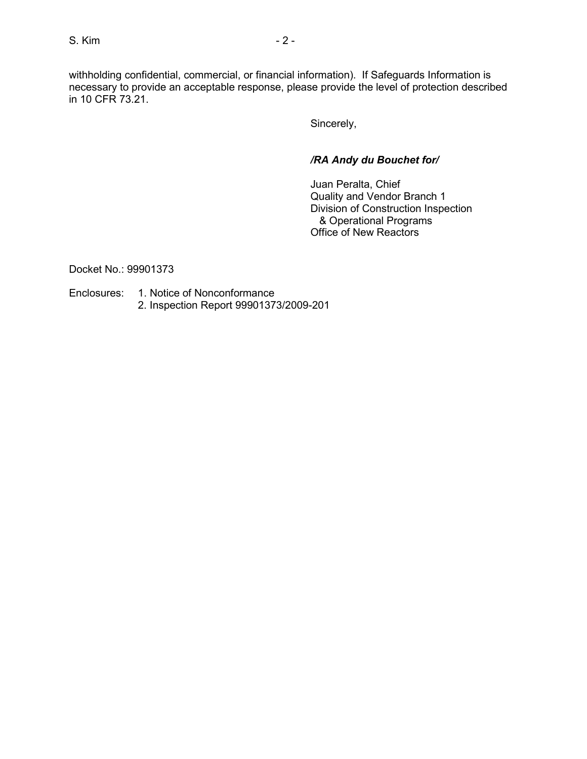withholding confidential, commercial, or financial information). If Safeguards Information is necessary to provide an acceptable response, please provide the level of protection described in 10 CFR 73.21.

Sincerely,

# */RA Andy du Bouchet for/*

 Juan Peralta, Chief Quality and Vendor Branch 1 Division of Construction Inspection & Operational Programs Office of New Reactors

Docket No.: 99901373

Enclosures: 1. Notice of Nonconformance 2. Inspection Report 99901373/2009-201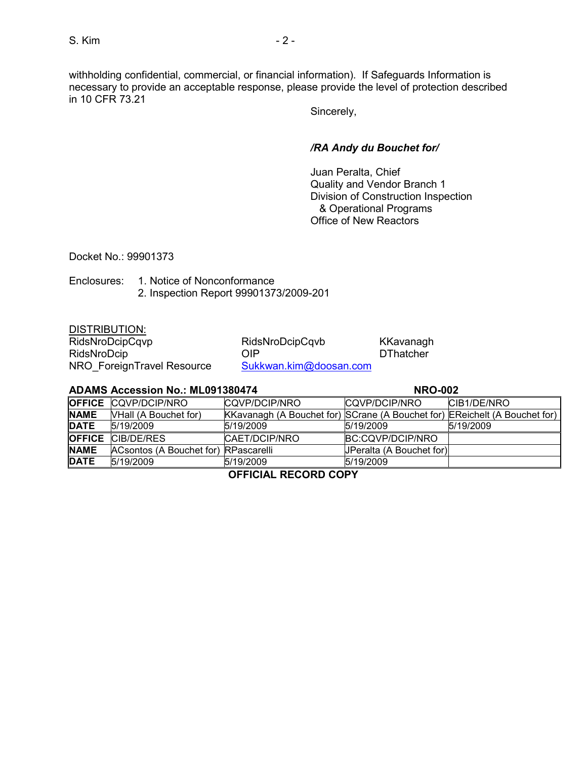withholding confidential, commercial, or financial information). If Safeguards Information is necessary to provide an acceptable response, please provide the level of protection described in 10 CFR 73.21

Sincerely,

# */RA Andy du Bouchet for/*

 Juan Peralta, Chief Quality and Vendor Branch 1 Division of Construction Inspection & Operational Programs Office of New Reactors

Docket No.: 99901373

Enclosures: 1. Notice of Nonconformance 2. Inspection Report 99901373/2009-201

DISTRIBUTION:

RidsNroDcip<br>
NRO ForeignTravel Resource Sukkwan.kim@doosan.com NRO\_ForeignTravel Resource

RidsNroDcipCqvp RidsNroDcipCqvb KKavanagh

#### **ADAMS Accession No.: ML091380474 NRO-002**

|                                 | <b>OFFICE CQVP/DCIP/NRO</b>          | CQVP/DCIP/NRO                                                              | CQVP/DCIP/NRO            | CIB1/DE/NRO |
|---------------------------------|--------------------------------------|----------------------------------------------------------------------------|--------------------------|-------------|
| <b>NAME</b>                     | <b>VHall (A Bouchet for)</b>         | KKavanagh (A Bouchet for) SCrane (A Bouchet for) EReichelt (A Bouchet for) |                          |             |
| <b>DATE</b>                     | 5/19/2009                            | 5/19/2009                                                                  | 5/19/2009                | 5/19/2009   |
|                                 | <b>OFFICE CIB/DE/RES</b>             | CAET/DCIP/NRO                                                              | BC:CQVP/DCIP/NRO         |             |
| <b>NAME</b>                     | ACsontos (A Bouchet for) RPascarelli |                                                                            | JPeralta (A Bouchet for) |             |
| <b>DATE</b>                     | 5/19/2009                            | 5/19/2009                                                                  | 5/19/2009                |             |
| A = = : A : A : .<br>$R = 2255$ |                                      |                                                                            |                          |             |

**OFFICIAL RECORD COPY**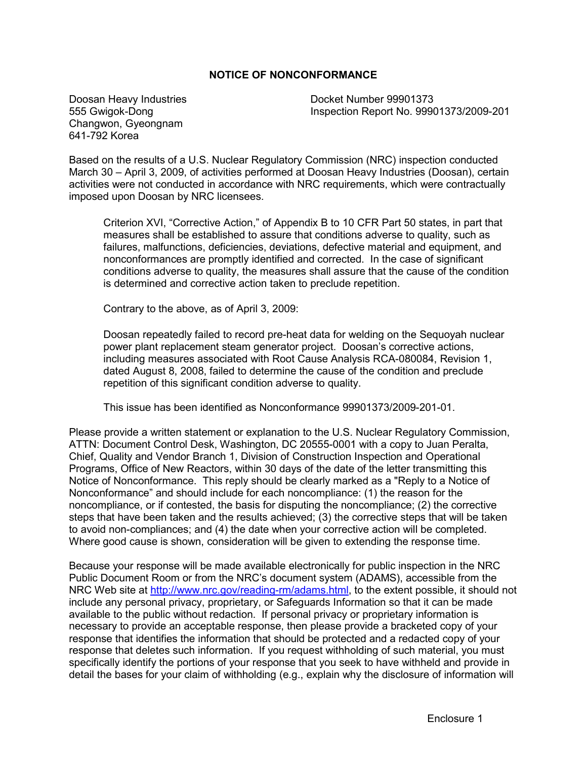## **NOTICE OF NONCONFORMANCE**

Doosan Heavy Industries 555 Gwigok-Dong Changwon, Gyeongnam 641-792 Korea

Docket Number 99901373 Inspection Report No. 99901373/2009-201

Based on the results of a U.S. Nuclear Regulatory Commission (NRC) inspection conducted March 30 – April 3, 2009, of activities performed at Doosan Heavy Industries (Doosan), certain activities were not conducted in accordance with NRC requirements, which were contractually imposed upon Doosan by NRC licensees.

Criterion XVI, "Corrective Action," of Appendix B to 10 CFR Part 50 states, in part that measures shall be established to assure that conditions adverse to quality, such as failures, malfunctions, deficiencies, deviations, defective material and equipment, and nonconformances are promptly identified and corrected. In the case of significant conditions adverse to quality, the measures shall assure that the cause of the condition is determined and corrective action taken to preclude repetition.

Contrary to the above, as of April 3, 2009:

Doosan repeatedly failed to record pre-heat data for welding on the Sequoyah nuclear power plant replacement steam generator project. Doosan's corrective actions, including measures associated with Root Cause Analysis RCA-080084, Revision 1, dated August 8, 2008, failed to determine the cause of the condition and preclude repetition of this significant condition adverse to quality.

This issue has been identified as Nonconformance 99901373/2009-201-01.

Please provide a written statement or explanation to the U.S. Nuclear Regulatory Commission, ATTN: Document Control Desk, Washington, DC 20555-0001 with a copy to Juan Peralta, Chief, Quality and Vendor Branch 1, Division of Construction Inspection and Operational Programs, Office of New Reactors, within 30 days of the date of the letter transmitting this Notice of Nonconformance. This reply should be clearly marked as a "Reply to a Notice of Nonconformance" and should include for each noncompliance: (1) the reason for the noncompliance, or if contested, the basis for disputing the noncompliance; (2) the corrective steps that have been taken and the results achieved; (3) the corrective steps that will be taken to avoid non-compliances; and (4) the date when your corrective action will be completed. Where good cause is shown, consideration will be given to extending the response time.

Because your response will be made available electronically for public inspection in the NRC Public Document Room or from the NRC's document system (ADAMS), accessible from the NRC Web site at http://www.nrc.gov/reading-rm/adams.html, to the extent possible, it should not include any personal privacy, proprietary, or Safeguards Information so that it can be made available to the public without redaction. If personal privacy or proprietary information is necessary to provide an acceptable response, then please provide a bracketed copy of your response that identifies the information that should be protected and a redacted copy of your response that deletes such information. If you request withholding of such material, you must specifically identify the portions of your response that you seek to have withheld and provide in detail the bases for your claim of withholding (e.g., explain why the disclosure of information will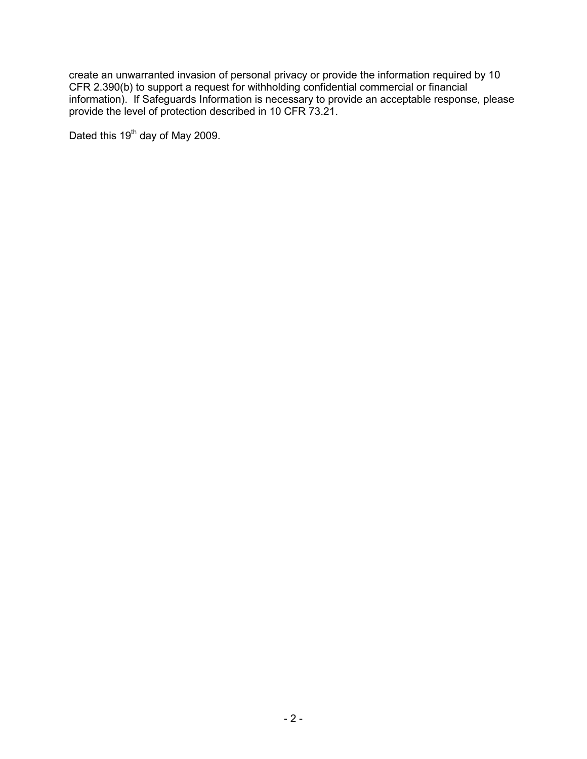create an unwarranted invasion of personal privacy or provide the information required by 10 CFR 2.390(b) to support a request for withholding confidential commercial or financial information). If Safeguards Information is necessary to provide an acceptable response, please provide the level of protection described in 10 CFR 73.21.

Dated this 19<sup>th</sup> day of May 2009.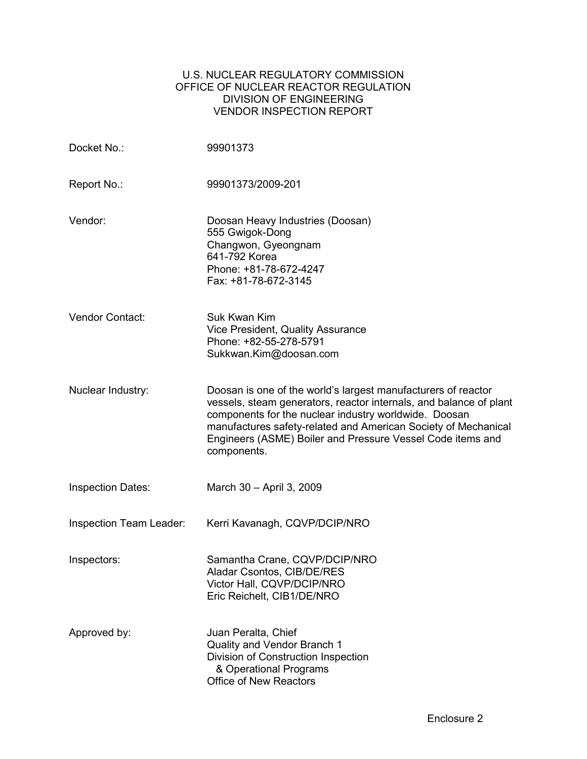## U.S. NUCLEAR REGULATORY COMMISSION OFFICE OF NUCLEAR REACTOR REGULATION DIVISION OF ENGINEERING VENDOR INSPECTION REPORT

| Docket No.:                    | 99901373                                                                                                                                                                                                                                                                                                                                    |
|--------------------------------|---------------------------------------------------------------------------------------------------------------------------------------------------------------------------------------------------------------------------------------------------------------------------------------------------------------------------------------------|
| Report No.:                    | 99901373/2009-201                                                                                                                                                                                                                                                                                                                           |
| Vendor:                        | Doosan Heavy Industries (Doosan)<br>555 Gwigok-Dong<br>Changwon, Gyeongnam<br>641-792 Korea<br>Phone: +81-78-672-4247<br>Fax: +81-78-672-3145                                                                                                                                                                                               |
| Vendor Contact:                | Suk Kwan Kim<br>Vice President, Quality Assurance<br>Phone: +82-55-278-5791<br>Sukkwan.Kim@doosan.com                                                                                                                                                                                                                                       |
| Nuclear Industry:              | Doosan is one of the world's largest manufacturers of reactor<br>vessels, steam generators, reactor internals, and balance of plant<br>components for the nuclear industry worldwide. Doosan<br>manufactures safety-related and American Society of Mechanical<br>Engineers (ASME) Boiler and Pressure Vessel Code items and<br>components. |
| <b>Inspection Dates:</b>       | March 30 - April 3, 2009                                                                                                                                                                                                                                                                                                                    |
| <b>Inspection Team Leader:</b> | Kerri Kavanagh, CQVP/DCIP/NRO                                                                                                                                                                                                                                                                                                               |
| Inspectors:                    | Samantha Crane, CQVP/DCIP/NRO<br>Aladar Csontos, CIB/DE/RES<br>Victor Hall, CQVP/DCIP/NRO<br>Eric Reichelt, CIB1/DE/NRO                                                                                                                                                                                                                     |
| Approved by:                   | Juan Peralta, Chief<br>Quality and Vendor Branch 1<br>Division of Construction Inspection<br>& Operational Programs<br><b>Office of New Reactors</b>                                                                                                                                                                                        |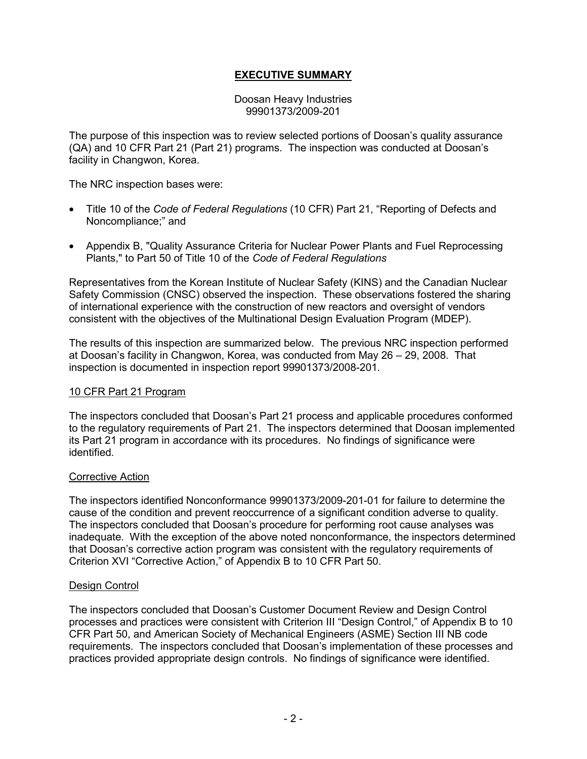# **EXECUTIVE SUMMARY**

Doosan Heavy Industries 99901373/2009-201

The purpose of this inspection was to review selected portions of Doosan's quality assurance (QA) and 10 CFR Part 21 (Part 21) programs. The inspection was conducted at Doosan's facility in Changwon, Korea.

The NRC inspection bases were:

- Title 10 of the *Code of Federal Regulations* (10 CFR) Part 21, "Reporting of Defects and Noncompliance;" and
- Appendix B, "Quality Assurance Criteria for Nuclear Power Plants and Fuel Reprocessing Plants," to Part 50 of Title 10 of the *Code of Federal Regulations*

Representatives from the Korean Institute of Nuclear Safety (KINS) and the Canadian Nuclear Safety Commission (CNSC) observed the inspection. These observations fostered the sharing of international experience with the construction of new reactors and oversight of vendors consistent with the objectives of the Multinational Design Evaluation Program (MDEP).

The results of this inspection are summarized below. The previous NRC inspection performed at Doosan's facility in Changwon, Korea, was conducted from May 26 – 29, 2008. That inspection is documented in inspection report 99901373/2008-201.

#### 10 CFR Part 21 Program

The inspectors concluded that Doosan's Part 21 process and applicable procedures conformed to the regulatory requirements of Part 21. The inspectors determined that Doosan implemented its Part 21 program in accordance with its procedures. No findings of significance were identified.

#### Corrective Action

The inspectors identified Nonconformance 99901373/2009-201-01 for failure to determine the cause of the condition and prevent reoccurrence of a significant condition adverse to quality. The inspectors concluded that Doosan's procedure for performing root cause analyses was inadequate. With the exception of the above noted nonconformance, the inspectors determined that Doosan's corrective action program was consistent with the regulatory requirements of Criterion XVI "Corrective Action," of Appendix B to 10 CFR Part 50.

#### Design Control

The inspectors concluded that Doosan's Customer Document Review and Design Control processes and practices were consistent with Criterion III "Design Control," of Appendix B to 10 CFR Part 50, and American Society of Mechanical Engineers (ASME) Section III NB code requirements. The inspectors concluded that Doosan's implementation of these processes and practices provided appropriate design controls. No findings of significance were identified.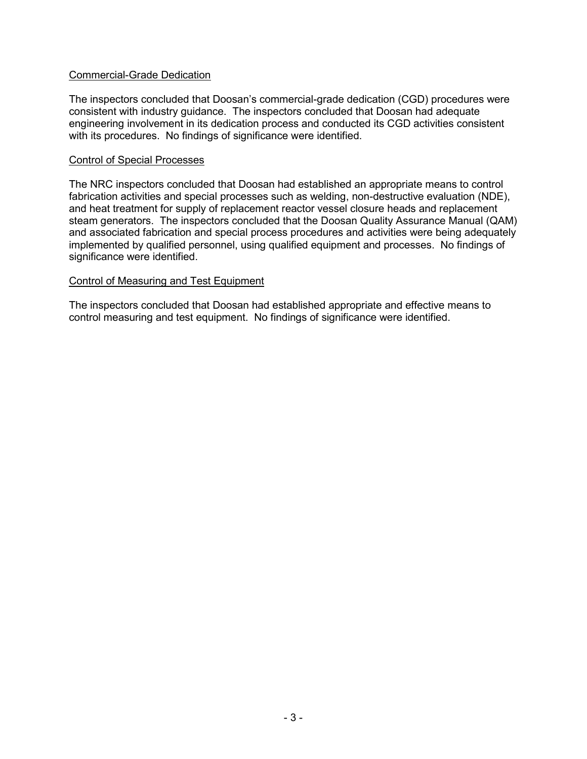## Commercial-Grade Dedication

The inspectors concluded that Doosan's commercial-grade dedication (CGD) procedures were consistent with industry guidance. The inspectors concluded that Doosan had adequate engineering involvement in its dedication process and conducted its CGD activities consistent with its procedures. No findings of significance were identified.

#### Control of Special Processes

The NRC inspectors concluded that Doosan had established an appropriate means to control fabrication activities and special processes such as welding, non-destructive evaluation (NDE), and heat treatment for supply of replacement reactor vessel closure heads and replacement steam generators. The inspectors concluded that the Doosan Quality Assurance Manual (QAM) and associated fabrication and special process procedures and activities were being adequately implemented by qualified personnel, using qualified equipment and processes. No findings of significance were identified.

### Control of Measuring and Test Equipment

The inspectors concluded that Doosan had established appropriate and effective means to control measuring and test equipment. No findings of significance were identified.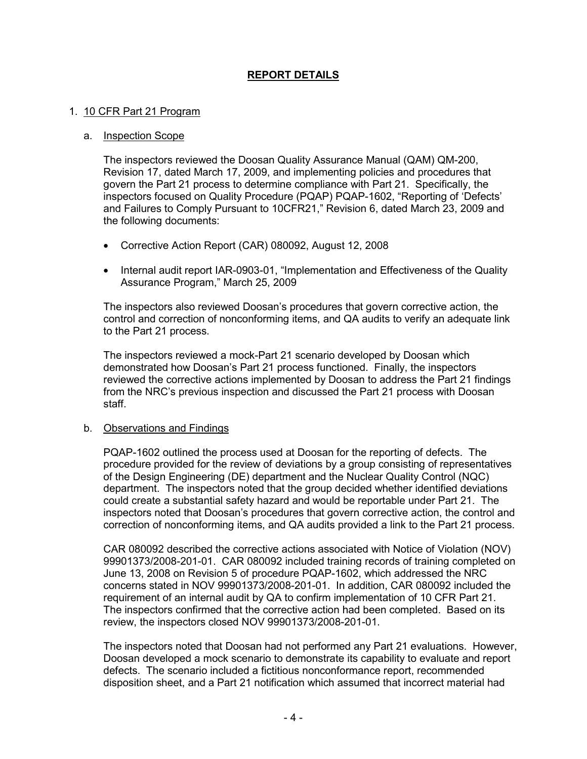# **REPORT DETAILS**

#### 1. 10 CFR Part 21 Program

#### a. Inspection Scope

The inspectors reviewed the Doosan Quality Assurance Manual (QAM) QM-200, Revision 17, dated March 17, 2009, and implementing policies and procedures that govern the Part 21 process to determine compliance with Part 21. Specifically, the inspectors focused on Quality Procedure (PQAP) PQAP-1602, "Reporting of 'Defects' and Failures to Comply Pursuant to 10CFR21," Revision 6, dated March 23, 2009 and the following documents:

- Corrective Action Report (CAR) 080092, August 12, 2008
- Internal audit report IAR-0903-01, "Implementation and Effectiveness of the Quality Assurance Program," March 25, 2009

The inspectors also reviewed Doosan's procedures that govern corrective action, the control and correction of nonconforming items, and QA audits to verify an adequate link to the Part 21 process.

The inspectors reviewed a mock-Part 21 scenario developed by Doosan which demonstrated how Doosan's Part 21 process functioned. Finally, the inspectors reviewed the corrective actions implemented by Doosan to address the Part 21 findings from the NRC's previous inspection and discussed the Part 21 process with Doosan staff.

#### b. Observations and Findings

PQAP-1602 outlined the process used at Doosan for the reporting of defects. The procedure provided for the review of deviations by a group consisting of representatives of the Design Engineering (DE) department and the Nuclear Quality Control (NQC) department. The inspectors noted that the group decided whether identified deviations could create a substantial safety hazard and would be reportable under Part 21. The inspectors noted that Doosan's procedures that govern corrective action, the control and correction of nonconforming items, and QA audits provided a link to the Part 21 process.

CAR 080092 described the corrective actions associated with Notice of Violation (NOV) 99901373/2008-201-01. CAR 080092 included training records of training completed on June 13, 2008 on Revision 5 of procedure PQAP-1602, which addressed the NRC concerns stated in NOV 99901373/2008-201-01. In addition, CAR 080092 included the requirement of an internal audit by QA to confirm implementation of 10 CFR Part 21. The inspectors confirmed that the corrective action had been completed. Based on its review, the inspectors closed NOV 99901373/2008-201-01.

The inspectors noted that Doosan had not performed any Part 21 evaluations. However, Doosan developed a mock scenario to demonstrate its capability to evaluate and report defects. The scenario included a fictitious nonconformance report, recommended disposition sheet, and a Part 21 notification which assumed that incorrect material had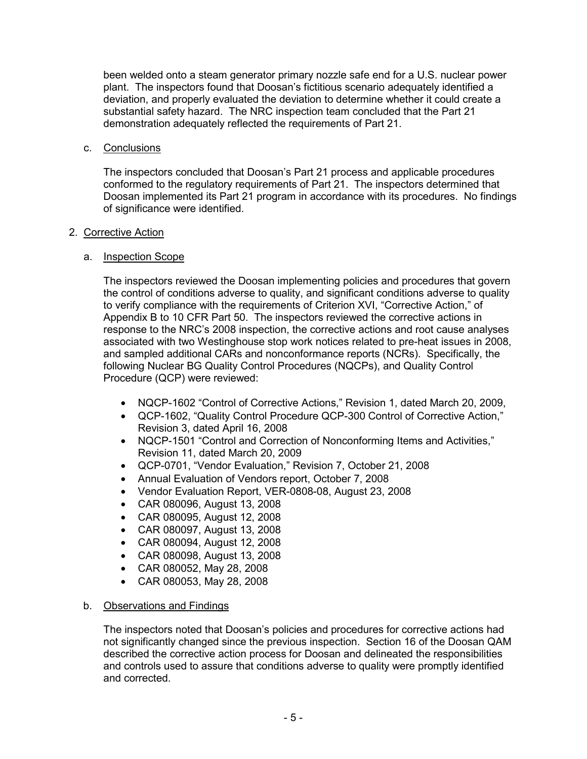been welded onto a steam generator primary nozzle safe end for a U.S. nuclear power plant. The inspectors found that Doosan's fictitious scenario adequately identified a deviation, and properly evaluated the deviation to determine whether it could create a substantial safety hazard. The NRC inspection team concluded that the Part 21 demonstration adequately reflected the requirements of Part 21.

## c. Conclusions

The inspectors concluded that Doosan's Part 21 process and applicable procedures conformed to the regulatory requirements of Part 21. The inspectors determined that Doosan implemented its Part 21 program in accordance with its procedures. No findings of significance were identified.

# 2. Corrective Action

# a. Inspection Scope

The inspectors reviewed the Doosan implementing policies and procedures that govern the control of conditions adverse to quality, and significant conditions adverse to quality to verify compliance with the requirements of Criterion XVI, "Corrective Action," of Appendix B to 10 CFR Part 50. The inspectors reviewed the corrective actions in response to the NRC's 2008 inspection, the corrective actions and root cause analyses associated with two Westinghouse stop work notices related to pre-heat issues in 2008, and sampled additional CARs and nonconformance reports (NCRs). Specifically, the following Nuclear BG Quality Control Procedures (NQCPs), and Quality Control Procedure (QCP) were reviewed:

- NQCP-1602 "Control of Corrective Actions," Revision 1, dated March 20, 2009,
- QCP-1602, "Quality Control Procedure QCP-300 Control of Corrective Action," Revision 3, dated April 16, 2008
- NQCP-1501 "Control and Correction of Nonconforming Items and Activities," Revision 11, dated March 20, 2009
- QCP-0701, "Vendor Evaluation," Revision 7, October 21, 2008
- Annual Evaluation of Vendors report, October 7, 2008
- Vendor Evaluation Report, VER-0808-08, August 23, 2008
- CAR 080096, August 13, 2008
- CAR 080095, August 12, 2008
- CAR 080097, August 13, 2008
- CAR 080094, August 12, 2008
- CAR 080098, August 13, 2008
- CAR 080052, May 28, 2008
- CAR 080053, May 28, 2008

## b. Observations and Findings

The inspectors noted that Doosan's policies and procedures for corrective actions had not significantly changed since the previous inspection. Section 16 of the Doosan QAM described the corrective action process for Doosan and delineated the responsibilities and controls used to assure that conditions adverse to quality were promptly identified and corrected.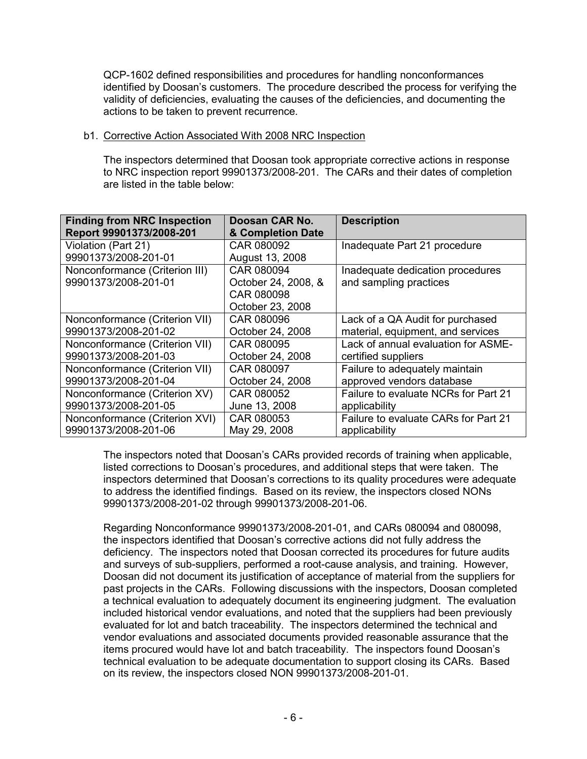QCP-1602 defined responsibilities and procedures for handling nonconformances identified by Doosan's customers. The procedure described the process for verifying the validity of deficiencies, evaluating the causes of the deficiencies, and documenting the actions to be taken to prevent recurrence.

### b1. Corrective Action Associated With 2008 NRC Inspection

The inspectors determined that Doosan took appropriate corrective actions in response to NRC inspection report 99901373/2008-201. The CARs and their dates of completion are listed in the table below:

| <b>Finding from NRC Inspection</b><br>Report 99901373/2008-201 | Doosan CAR No.<br>& Completion Date | <b>Description</b>                   |
|----------------------------------------------------------------|-------------------------------------|--------------------------------------|
| Violation (Part 21)                                            | CAR 080092                          | Inadequate Part 21 procedure         |
| 99901373/2008-201-01                                           | August 13, 2008                     |                                      |
| Nonconformance (Criterion III)                                 | CAR 080094                          | Inadequate dedication procedures     |
| 99901373/2008-201-01                                           | October 24, 2008, &                 | and sampling practices               |
|                                                                | CAR 080098                          |                                      |
|                                                                | October 23, 2008                    |                                      |
| Nonconformance (Criterion VII)                                 | CAR 080096                          | Lack of a QA Audit for purchased     |
| 99901373/2008-201-02                                           | October 24, 2008                    | material, equipment, and services    |
| Nonconformance (Criterion VII)                                 | CAR 080095                          | Lack of annual evaluation for ASME-  |
| 99901373/2008-201-03                                           | October 24, 2008                    | certified suppliers                  |
| Nonconformance (Criterion VII)                                 | CAR 080097                          | Failure to adequately maintain       |
| 99901373/2008-201-04                                           | October 24, 2008                    | approved vendors database            |
| Nonconformance (Criterion XV)                                  | CAR 080052                          | Failure to evaluate NCRs for Part 21 |
| 99901373/2008-201-05                                           | June 13, 2008                       | applicability                        |
| Nonconformance (Criterion XVI)                                 | CAR 080053                          | Failure to evaluate CARs for Part 21 |
| 99901373/2008-201-06                                           | May 29, 2008                        | applicability                        |

The inspectors noted that Doosan's CARs provided records of training when applicable, listed corrections to Doosan's procedures, and additional steps that were taken. The inspectors determined that Doosan's corrections to its quality procedures were adequate to address the identified findings. Based on its review, the inspectors closed NONs 99901373/2008-201-02 through 99901373/2008-201-06.

Regarding Nonconformance 99901373/2008-201-01, and CARs 080094 and 080098, the inspectors identified that Doosan's corrective actions did not fully address the deficiency. The inspectors noted that Doosan corrected its procedures for future audits and surveys of sub-suppliers, performed a root-cause analysis, and training. However, Doosan did not document its justification of acceptance of material from the suppliers for past projects in the CARs. Following discussions with the inspectors, Doosan completed a technical evaluation to adequately document its engineering judgment. The evaluation included historical vendor evaluations, and noted that the suppliers had been previously evaluated for lot and batch traceability. The inspectors determined the technical and vendor evaluations and associated documents provided reasonable assurance that the items procured would have lot and batch traceability. The inspectors found Doosan's technical evaluation to be adequate documentation to support closing its CARs. Based on its review, the inspectors closed NON 99901373/2008-201-01.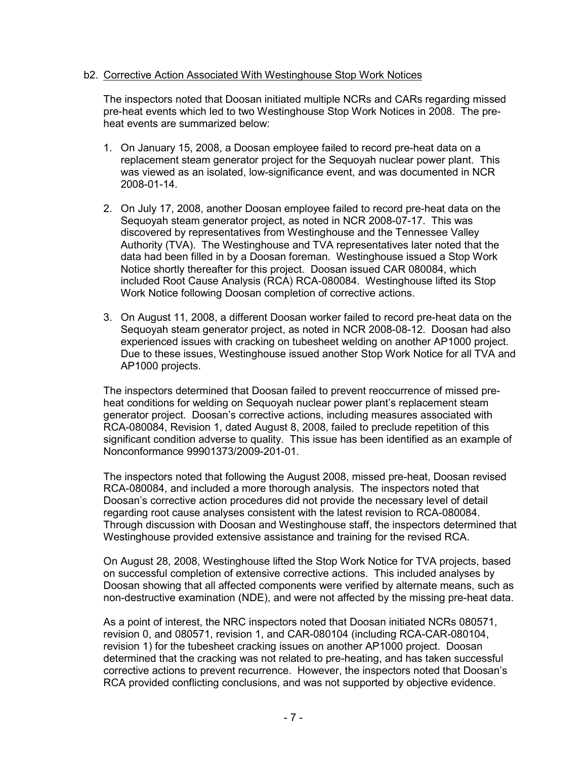## b2. Corrective Action Associated With Westinghouse Stop Work Notices

The inspectors noted that Doosan initiated multiple NCRs and CARs regarding missed pre-heat events which led to two Westinghouse Stop Work Notices in 2008. The preheat events are summarized below:

- 1. On January 15, 2008, a Doosan employee failed to record pre-heat data on a replacement steam generator project for the Sequoyah nuclear power plant. This was viewed as an isolated, low-significance event, and was documented in NCR 2008-01-14.
- 2. On July 17, 2008, another Doosan employee failed to record pre-heat data on the Sequoyah steam generator project, as noted in NCR 2008-07-17. This was discovered by representatives from Westinghouse and the Tennessee Valley Authority (TVA). The Westinghouse and TVA representatives later noted that the data had been filled in by a Doosan foreman. Westinghouse issued a Stop Work Notice shortly thereafter for this project. Doosan issued CAR 080084, which included Root Cause Analysis (RCA) RCA-080084. Westinghouse lifted its Stop Work Notice following Doosan completion of corrective actions.
- 3. On August 11, 2008, a different Doosan worker failed to record pre-heat data on the Sequoyah steam generator project, as noted in NCR 2008-08-12. Doosan had also experienced issues with cracking on tubesheet welding on another AP1000 project. Due to these issues, Westinghouse issued another Stop Work Notice for all TVA and AP1000 projects.

The inspectors determined that Doosan failed to prevent reoccurrence of missed preheat conditions for welding on Sequoyah nuclear power plant's replacement steam generator project. Doosan's corrective actions, including measures associated with RCA-080084, Revision 1, dated August 8, 2008, failed to preclude repetition of this significant condition adverse to quality. This issue has been identified as an example of Nonconformance 99901373/2009-201-01.

The inspectors noted that following the August 2008, missed pre-heat, Doosan revised RCA-080084, and included a more thorough analysis. The inspectors noted that Doosan's corrective action procedures did not provide the necessary level of detail regarding root cause analyses consistent with the latest revision to RCA-080084. Through discussion with Doosan and Westinghouse staff, the inspectors determined that Westinghouse provided extensive assistance and training for the revised RCA.

On August 28, 2008, Westinghouse lifted the Stop Work Notice for TVA projects, based on successful completion of extensive corrective actions. This included analyses by Doosan showing that all affected components were verified by alternate means, such as non-destructive examination (NDE), and were not affected by the missing pre-heat data.

As a point of interest, the NRC inspectors noted that Doosan initiated NCRs 080571, revision 0, and 080571, revision 1, and CAR-080104 (including RCA-CAR-080104, revision 1) for the tubesheet cracking issues on another AP1000 project. Doosan determined that the cracking was not related to pre-heating, and has taken successful corrective actions to prevent recurrence. However, the inspectors noted that Doosan's RCA provided conflicting conclusions, and was not supported by objective evidence.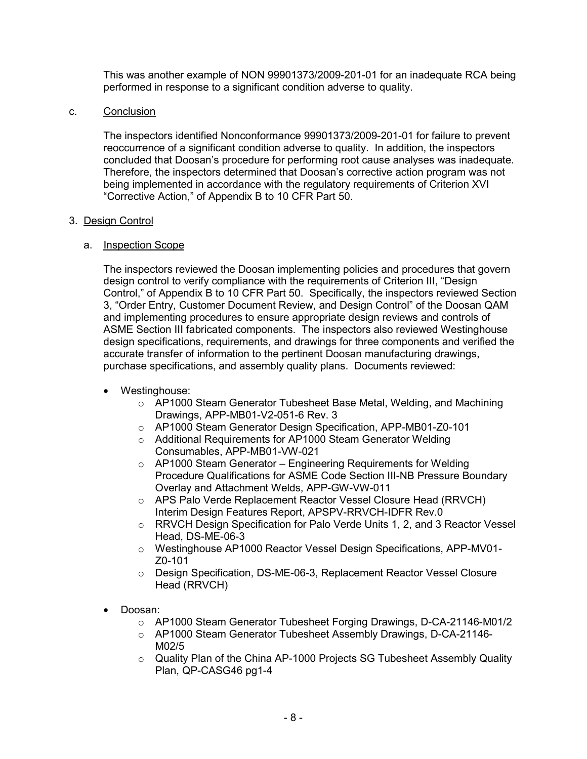This was another example of NON 99901373/2009-201-01 for an inadequate RCA being performed in response to a significant condition adverse to quality.

## c. Conclusion

The inspectors identified Nonconformance 99901373/2009-201-01 for failure to prevent reoccurrence of a significant condition adverse to quality. In addition, the inspectors concluded that Doosan's procedure for performing root cause analyses was inadequate. Therefore, the inspectors determined that Doosan's corrective action program was not being implemented in accordance with the regulatory requirements of Criterion XVI "Corrective Action," of Appendix B to 10 CFR Part 50.

### 3. Design Control

## a. Inspection Scope

The inspectors reviewed the Doosan implementing policies and procedures that govern design control to verify compliance with the requirements of Criterion III, "Design Control," of Appendix B to 10 CFR Part 50. Specifically, the inspectors reviewed Section 3, "Order Entry, Customer Document Review, and Design Control" of the Doosan QAM and implementing procedures to ensure appropriate design reviews and controls of ASME Section III fabricated components. The inspectors also reviewed Westinghouse design specifications, requirements, and drawings for three components and verified the accurate transfer of information to the pertinent Doosan manufacturing drawings, purchase specifications, and assembly quality plans. Documents reviewed:

## • Westinghouse:

- $\circ$  AP1000 Steam Generator Tubesheet Base Metal, Welding, and Machining Drawings, APP-MB01-V2-051-6 Rev. 3
- o AP1000 Steam Generator Design Specification, APP-MB01-Z0-101
- o Additional Requirements for AP1000 Steam Generator Welding Consumables, APP-MB01-VW-021
- o AP1000 Steam Generator Engineering Requirements for Welding Procedure Qualifications for ASME Code Section III-NB Pressure Boundary Overlay and Attachment Welds, APP-GW-VW-011
- o APS Palo Verde Replacement Reactor Vessel Closure Head (RRVCH) Interim Design Features Report, APSPV-RRVCH-IDFR Rev.0
- o RRVCH Design Specification for Palo Verde Units 1, 2, and 3 Reactor Vessel Head, DS-ME-06-3
- o Westinghouse AP1000 Reactor Vessel Design Specifications, APP-MV01- Z0-101
- o Design Specification, DS-ME-06-3, Replacement Reactor Vessel Closure Head (RRVCH)
- Doosan:
	- o AP1000 Steam Generator Tubesheet Forging Drawings, D-CA-21146-M01/2
	- o AP1000 Steam Generator Tubesheet Assembly Drawings, D-CA-21146- M02/5
	- o Quality Plan of the China AP-1000 Projects SG Tubesheet Assembly Quality Plan, QP-CASG46 pg1-4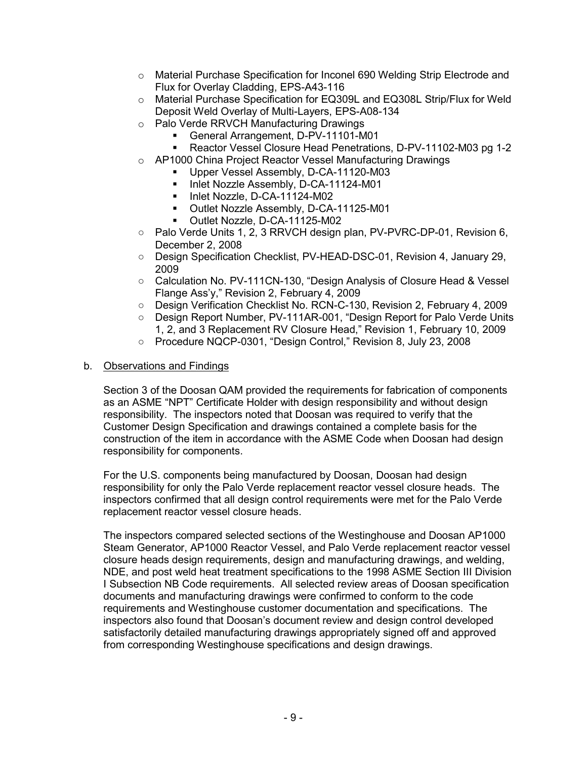- o Material Purchase Specification for Inconel 690 Welding Strip Electrode and Flux for Overlay Cladding, EPS-A43-116
- o Material Purchase Specification for EQ309L and EQ308L Strip/Flux for Weld Deposit Weld Overlay of Multi-Layers, EPS-A08-134
- o Palo Verde RRVCH Manufacturing Drawings
	- General Arrangement, D-PV-11101-M01
		- Reactor Vessel Closure Head Penetrations, D-PV-11102-M03 pg 1-2
- o AP1000 China Project Reactor Vessel Manufacturing Drawings
	- Upper Vessel Assembly, D-CA-11120-M03
	- Inlet Nozzle Assembly, D-CA-11124-M01
	- Inlet Nozzle, D-CA-11124-M02
	- Outlet Nozzle Assembly, D-CA-11125-M01
	- **D** Outlet Nozzle, D-CA-11125-M02
- Palo Verde Units 1, 2, 3 RRVCH design plan, PV-PVRC-DP-01, Revision 6, December 2, 2008
- Design Specification Checklist, PV-HEAD-DSC-01, Revision 4, January 29, 2009
- Calculation No. PV-111CN-130, "Design Analysis of Closure Head & Vessel Flange Ass'y," Revision 2, February 4, 2009
- Design Verification Checklist No. RCN-C-130, Revision 2, February 4, 2009
- Design Report Number, PV-111AR-001, "Design Report for Palo Verde Units 1, 2, and 3 Replacement RV Closure Head," Revision 1, February 10, 2009
- Procedure NQCP-0301, "Design Control," Revision 8, July 23, 2008

# b. Observations and Findings

Section 3 of the Doosan QAM provided the requirements for fabrication of components as an ASME "NPT" Certificate Holder with design responsibility and without design responsibility. The inspectors noted that Doosan was required to verify that the Customer Design Specification and drawings contained a complete basis for the construction of the item in accordance with the ASME Code when Doosan had design responsibility for components.

For the U.S. components being manufactured by Doosan, Doosan had design responsibility for only the Palo Verde replacement reactor vessel closure heads. The inspectors confirmed that all design control requirements were met for the Palo Verde replacement reactor vessel closure heads.

The inspectors compared selected sections of the Westinghouse and Doosan AP1000 Steam Generator, AP1000 Reactor Vessel, and Palo Verde replacement reactor vessel closure heads design requirements, design and manufacturing drawings, and welding, NDE, and post weld heat treatment specifications to the 1998 ASME Section III Division I Subsection NB Code requirements. All selected review areas of Doosan specification documents and manufacturing drawings were confirmed to conform to the code requirements and Westinghouse customer documentation and specifications. The inspectors also found that Doosan's document review and design control developed satisfactorily detailed manufacturing drawings appropriately signed off and approved from corresponding Westinghouse specifications and design drawings.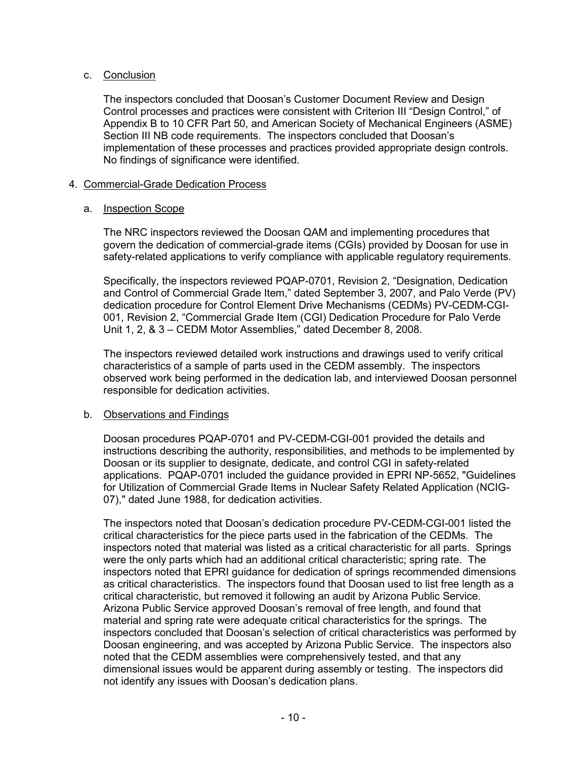## c. Conclusion

The inspectors concluded that Doosan's Customer Document Review and Design Control processes and practices were consistent with Criterion III "Design Control," of Appendix B to 10 CFR Part 50, and American Society of Mechanical Engineers (ASME) Section III NB code requirements. The inspectors concluded that Doosan's implementation of these processes and practices provided appropriate design controls. No findings of significance were identified.

## 4. Commercial-Grade Dedication Process

## a. Inspection Scope

The NRC inspectors reviewed the Doosan QAM and implementing procedures that govern the dedication of commercial-grade items (CGIs) provided by Doosan for use in safety-related applications to verify compliance with applicable regulatory requirements.

Specifically, the inspectors reviewed PQAP-0701, Revision 2, "Designation, Dedication and Control of Commercial Grade Item," dated September 3, 2007, and Palo Verde (PV) dedication procedure for Control Element Drive Mechanisms (CEDMs) PV-CEDM-CGI-001, Revision 2, "Commercial Grade Item (CGI) Dedication Procedure for Palo Verde Unit 1, 2, & 3 – CEDM Motor Assemblies," dated December 8, 2008.

The inspectors reviewed detailed work instructions and drawings used to verify critical characteristics of a sample of parts used in the CEDM assembly. The inspectors observed work being performed in the dedication lab, and interviewed Doosan personnel responsible for dedication activities.

## b. Observations and Findings

Doosan procedures PQAP-0701 and PV-CEDM-CGI-001 provided the details and instructions describing the authority, responsibilities, and methods to be implemented by Doosan or its supplier to designate, dedicate, and control CGI in safety-related applications. PQAP-0701 included the guidance provided in EPRI NP-5652, "Guidelines for Utilization of Commercial Grade Items in Nuclear Safety Related Application (NCIG-07)," dated June 1988, for dedication activities.

The inspectors noted that Doosan's dedication procedure PV-CEDM-CGI-001 listed the critical characteristics for the piece parts used in the fabrication of the CEDMs. The inspectors noted that material was listed as a critical characteristic for all parts. Springs were the only parts which had an additional critical characteristic; spring rate. The inspectors noted that EPRI guidance for dedication of springs recommended dimensions as critical characteristics. The inspectors found that Doosan used to list free length as a critical characteristic, but removed it following an audit by Arizona Public Service. Arizona Public Service approved Doosan's removal of free length, and found that material and spring rate were adequate critical characteristics for the springs. The inspectors concluded that Doosan's selection of critical characteristics was performed by Doosan engineering, and was accepted by Arizona Public Service. The inspectors also noted that the CEDM assemblies were comprehensively tested, and that any dimensional issues would be apparent during assembly or testing. The inspectors did not identify any issues with Doosan's dedication plans.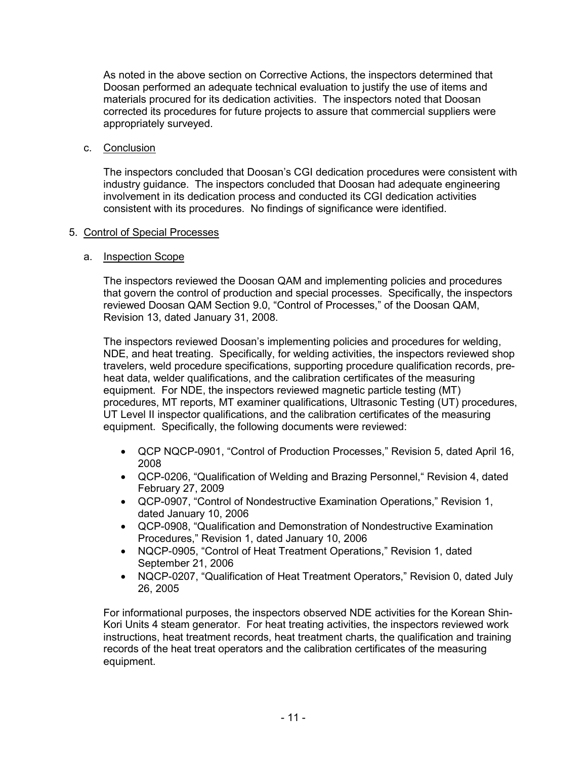As noted in the above section on Corrective Actions, the inspectors determined that Doosan performed an adequate technical evaluation to justify the use of items and materials procured for its dedication activities. The inspectors noted that Doosan corrected its procedures for future projects to assure that commercial suppliers were appropriately surveyed.

c. Conclusion

The inspectors concluded that Doosan's CGI dedication procedures were consistent with industry guidance. The inspectors concluded that Doosan had adequate engineering involvement in its dedication process and conducted its CGI dedication activities consistent with its procedures. No findings of significance were identified.

# 5. Control of Special Processes

# a. Inspection Scope

The inspectors reviewed the Doosan QAM and implementing policies and procedures that govern the control of production and special processes. Specifically, the inspectors reviewed Doosan QAM Section 9.0, "Control of Processes," of the Doosan QAM, Revision 13, dated January 31, 2008.

The inspectors reviewed Doosan's implementing policies and procedures for welding, NDE, and heat treating. Specifically, for welding activities, the inspectors reviewed shop travelers, weld procedure specifications, supporting procedure qualification records, preheat data, welder qualifications, and the calibration certificates of the measuring equipment. For NDE, the inspectors reviewed magnetic particle testing (MT) procedures, MT reports, MT examiner qualifications, Ultrasonic Testing (UT) procedures, UT Level II inspector qualifications, and the calibration certificates of the measuring equipment. Specifically, the following documents were reviewed:

- QCP NQCP-0901, "Control of Production Processes," Revision 5, dated April 16, 2008
- QCP-0206, "Qualification of Welding and Brazing Personnel," Revision 4, dated February 27, 2009
- QCP-0907, "Control of Nondestructive Examination Operations," Revision 1, dated January 10, 2006
- QCP-0908, "Qualification and Demonstration of Nondestructive Examination Procedures," Revision 1, dated January 10, 2006
- NQCP-0905, "Control of Heat Treatment Operations," Revision 1, dated September 21, 2006
- NQCP-0207, "Qualification of Heat Treatment Operators," Revision 0, dated July 26, 2005

For informational purposes, the inspectors observed NDE activities for the Korean Shin-Kori Units 4 steam generator. For heat treating activities, the inspectors reviewed work instructions, heat treatment records, heat treatment charts, the qualification and training records of the heat treat operators and the calibration certificates of the measuring equipment.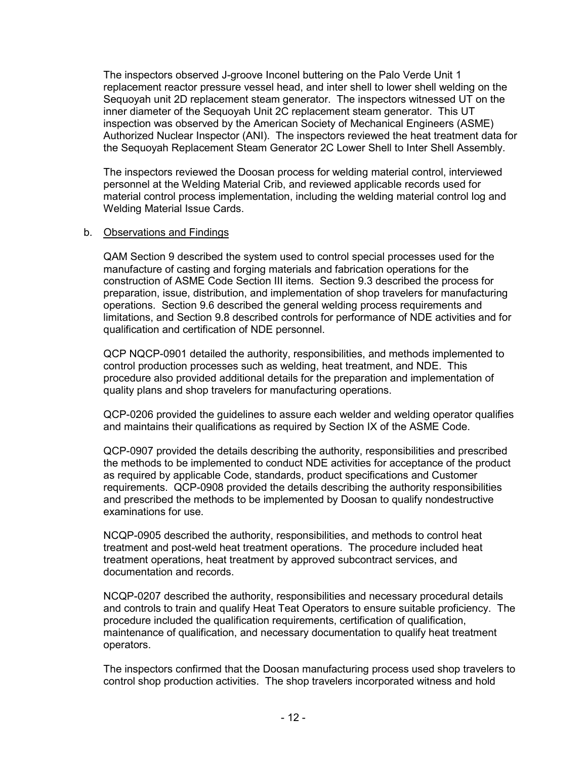The inspectors observed J-groove Inconel buttering on the Palo Verde Unit 1 replacement reactor pressure vessel head, and inter shell to lower shell welding on the Sequoyah unit 2D replacement steam generator. The inspectors witnessed UT on the inner diameter of the Sequoyah Unit 2C replacement steam generator. This UT inspection was observed by the American Society of Mechanical Engineers (ASME) Authorized Nuclear Inspector (ANI). The inspectors reviewed the heat treatment data for the Sequoyah Replacement Steam Generator 2C Lower Shell to Inter Shell Assembly.

The inspectors reviewed the Doosan process for welding material control, interviewed personnel at the Welding Material Crib, and reviewed applicable records used for material control process implementation, including the welding material control log and Welding Material Issue Cards.

### b. Observations and Findings

QAM Section 9 described the system used to control special processes used for the manufacture of casting and forging materials and fabrication operations for the construction of ASME Code Section III items. Section 9.3 described the process for preparation, issue, distribution, and implementation of shop travelers for manufacturing operations. Section 9.6 described the general welding process requirements and limitations, and Section 9.8 described controls for performance of NDE activities and for qualification and certification of NDE personnel.

QCP NQCP-0901 detailed the authority, responsibilities, and methods implemented to control production processes such as welding, heat treatment, and NDE. This procedure also provided additional details for the preparation and implementation of quality plans and shop travelers for manufacturing operations.

QCP-0206 provided the guidelines to assure each welder and welding operator qualifies and maintains their qualifications as required by Section IX of the ASME Code.

QCP-0907 provided the details describing the authority, responsibilities and prescribed the methods to be implemented to conduct NDE activities for acceptance of the product as required by applicable Code, standards, product specifications and Customer requirements. QCP-0908 provided the details describing the authority responsibilities and prescribed the methods to be implemented by Doosan to qualify nondestructive examinations for use.

NCQP-0905 described the authority, responsibilities, and methods to control heat treatment and post-weld heat treatment operations. The procedure included heat treatment operations, heat treatment by approved subcontract services, and documentation and records.

NCQP-0207 described the authority, responsibilities and necessary procedural details and controls to train and qualify Heat Teat Operators to ensure suitable proficiency. The procedure included the qualification requirements, certification of qualification, maintenance of qualification, and necessary documentation to qualify heat treatment operators.

The inspectors confirmed that the Doosan manufacturing process used shop travelers to control shop production activities. The shop travelers incorporated witness and hold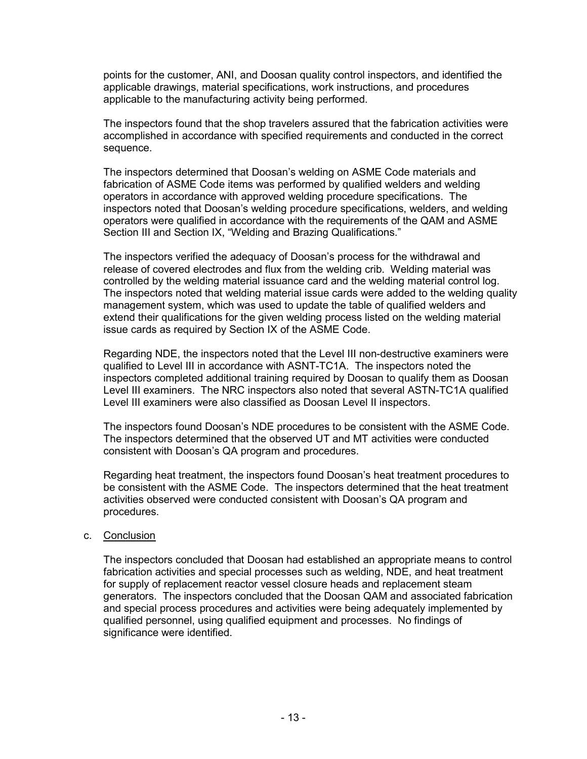points for the customer, ANI, and Doosan quality control inspectors, and identified the applicable drawings, material specifications, work instructions, and procedures applicable to the manufacturing activity being performed.

The inspectors found that the shop travelers assured that the fabrication activities were accomplished in accordance with specified requirements and conducted in the correct sequence.

The inspectors determined that Doosan's welding on ASME Code materials and fabrication of ASME Code items was performed by qualified welders and welding operators in accordance with approved welding procedure specifications. The inspectors noted that Doosan's welding procedure specifications, welders, and welding operators were qualified in accordance with the requirements of the QAM and ASME Section III and Section IX, "Welding and Brazing Qualifications."

The inspectors verified the adequacy of Doosan's process for the withdrawal and release of covered electrodes and flux from the welding crib. Welding material was controlled by the welding material issuance card and the welding material control log. The inspectors noted that welding material issue cards were added to the welding quality management system, which was used to update the table of qualified welders and extend their qualifications for the given welding process listed on the welding material issue cards as required by Section IX of the ASME Code.

Regarding NDE, the inspectors noted that the Level III non-destructive examiners were qualified to Level III in accordance with ASNT-TC1A. The inspectors noted the inspectors completed additional training required by Doosan to qualify them as Doosan Level III examiners. The NRC inspectors also noted that several ASTN-TC1A qualified Level III examiners were also classified as Doosan Level II inspectors.

The inspectors found Doosan's NDE procedures to be consistent with the ASME Code. The inspectors determined that the observed UT and MT activities were conducted consistent with Doosan's QA program and procedures.

Regarding heat treatment, the inspectors found Doosan's heat treatment procedures to be consistent with the ASME Code. The inspectors determined that the heat treatment activities observed were conducted consistent with Doosan's QA program and procedures.

#### c. Conclusion

The inspectors concluded that Doosan had established an appropriate means to control fabrication activities and special processes such as welding, NDE, and heat treatment for supply of replacement reactor vessel closure heads and replacement steam generators. The inspectors concluded that the Doosan QAM and associated fabrication and special process procedures and activities were being adequately implemented by qualified personnel, using qualified equipment and processes. No findings of significance were identified.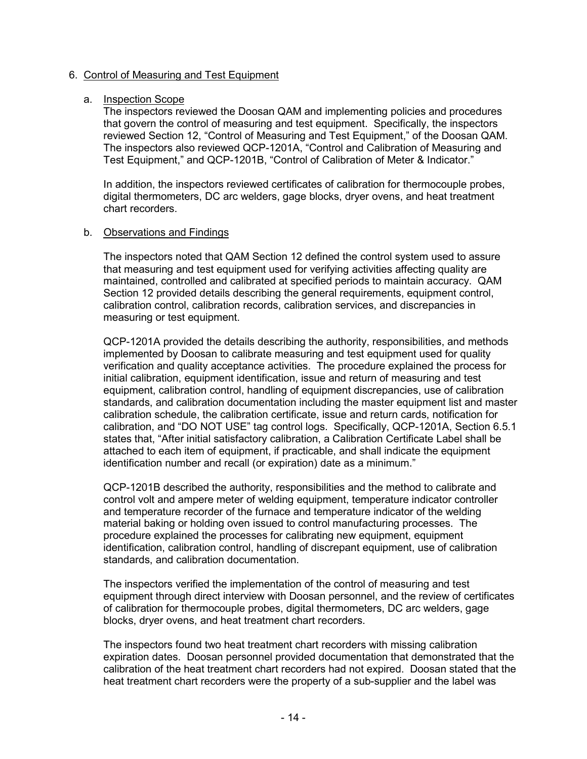## 6. Control of Measuring and Test Equipment

### a. Inspection Scope

The inspectors reviewed the Doosan QAM and implementing policies and procedures that govern the control of measuring and test equipment. Specifically, the inspectors reviewed Section 12, "Control of Measuring and Test Equipment," of the Doosan QAM. The inspectors also reviewed QCP-1201A, "Control and Calibration of Measuring and Test Equipment," and QCP-1201B, "Control of Calibration of Meter & Indicator."

In addition, the inspectors reviewed certificates of calibration for thermocouple probes, digital thermometers, DC arc welders, gage blocks, dryer ovens, and heat treatment chart recorders.

### b. Observations and Findings

The inspectors noted that QAM Section 12 defined the control system used to assure that measuring and test equipment used for verifying activities affecting quality are maintained, controlled and calibrated at specified periods to maintain accuracy. QAM Section 12 provided details describing the general requirements, equipment control, calibration control, calibration records, calibration services, and discrepancies in measuring or test equipment.

QCP-1201A provided the details describing the authority, responsibilities, and methods implemented by Doosan to calibrate measuring and test equipment used for quality verification and quality acceptance activities. The procedure explained the process for initial calibration, equipment identification, issue and return of measuring and test equipment, calibration control, handling of equipment discrepancies, use of calibration standards, and calibration documentation including the master equipment list and master calibration schedule, the calibration certificate, issue and return cards, notification for calibration, and "DO NOT USE" tag control logs. Specifically, QCP-1201A, Section 6.5.1 states that, "After initial satisfactory calibration, a Calibration Certificate Label shall be attached to each item of equipment, if practicable, and shall indicate the equipment identification number and recall (or expiration) date as a minimum."

QCP-1201B described the authority, responsibilities and the method to calibrate and control volt and ampere meter of welding equipment, temperature indicator controller and temperature recorder of the furnace and temperature indicator of the welding material baking or holding oven issued to control manufacturing processes. The procedure explained the processes for calibrating new equipment, equipment identification, calibration control, handling of discrepant equipment, use of calibration standards, and calibration documentation.

The inspectors verified the implementation of the control of measuring and test equipment through direct interview with Doosan personnel, and the review of certificates of calibration for thermocouple probes, digital thermometers, DC arc welders, gage blocks, dryer ovens, and heat treatment chart recorders.

The inspectors found two heat treatment chart recorders with missing calibration expiration dates. Doosan personnel provided documentation that demonstrated that the calibration of the heat treatment chart recorders had not expired. Doosan stated that the heat treatment chart recorders were the property of a sub-supplier and the label was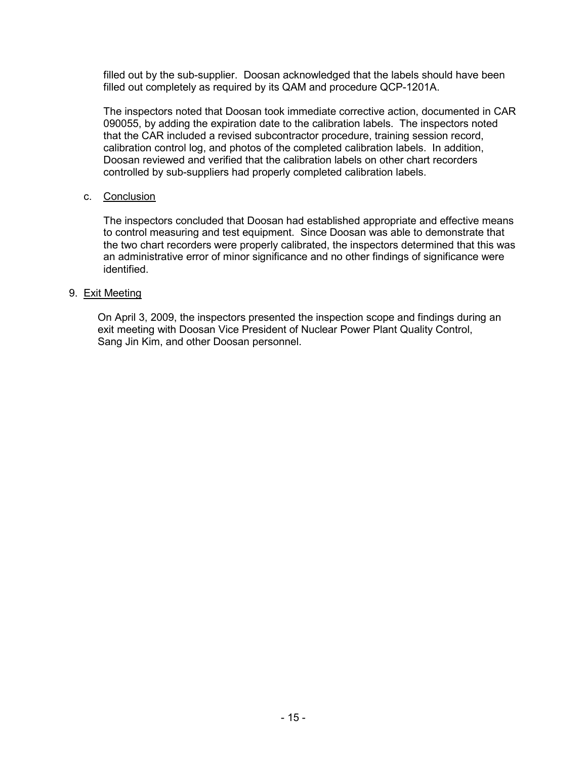filled out by the sub-supplier. Doosan acknowledged that the labels should have been filled out completely as required by its QAM and procedure QCP-1201A.

The inspectors noted that Doosan took immediate corrective action, documented in CAR 090055, by adding the expiration date to the calibration labels. The inspectors noted that the CAR included a revised subcontractor procedure, training session record, calibration control log, and photos of the completed calibration labels. In addition, Doosan reviewed and verified that the calibration labels on other chart recorders controlled by sub-suppliers had properly completed calibration labels.

## c. Conclusion

The inspectors concluded that Doosan had established appropriate and effective means to control measuring and test equipment. Since Doosan was able to demonstrate that the two chart recorders were properly calibrated, the inspectors determined that this was an administrative error of minor significance and no other findings of significance were identified.

### 9. Exit Meeting

On April 3, 2009, the inspectors presented the inspection scope and findings during an exit meeting with Doosan Vice President of Nuclear Power Plant Quality Control, Sang Jin Kim, and other Doosan personnel.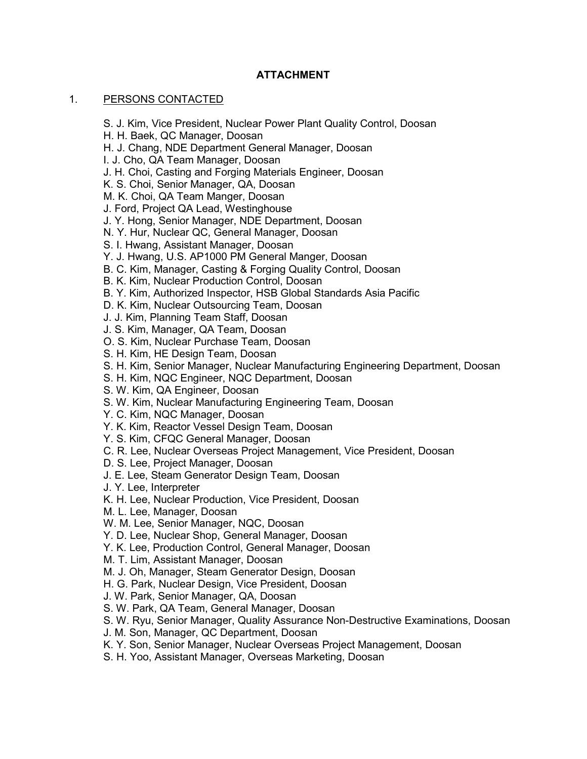# **ATTACHMENT**

## 1. PERSONS CONTACTED

S. J. Kim, Vice President, Nuclear Power Plant Quality Control, Doosan

- H. H. Baek, QC Manager, Doosan
- H. J. Chang, NDE Department General Manager, Doosan
- I. J. Cho, QA Team Manager, Doosan
- J. H. Choi, Casting and Forging Materials Engineer, Doosan
- K. S. Choi, Senior Manager, QA, Doosan
- M. K. Choi, QA Team Manger, Doosan
- J. Ford, Project QA Lead, Westinghouse
- J. Y. Hong, Senior Manager, NDE Department, Doosan
- N. Y. Hur, Nuclear QC, General Manager, Doosan
- S. I. Hwang, Assistant Manager, Doosan
- Y. J. Hwang, U.S. AP1000 PM General Manger, Doosan
- B. C. Kim, Manager, Casting & Forging Quality Control, Doosan
- B. K. Kim, Nuclear Production Control, Doosan
- B. Y. Kim, Authorized Inspector, HSB Global Standards Asia Pacific
- D. K. Kim, Nuclear Outsourcing Team, Doosan
- J. J. Kim, Planning Team Staff, Doosan
- J. S. Kim, Manager, QA Team, Doosan
- O. S. Kim, Nuclear Purchase Team, Doosan
- S. H. Kim, HE Design Team, Doosan
- S. H. Kim, Senior Manager, Nuclear Manufacturing Engineering Department, Doosan
- S. H. Kim, NQC Engineer, NQC Department, Doosan
- S. W. Kim, QA Engineer, Doosan
- S. W. Kim, Nuclear Manufacturing Engineering Team, Doosan
- Y. C. Kim, NQC Manager, Doosan
- Y. K. Kim, Reactor Vessel Design Team, Doosan
- Y. S. Kim, CFQC General Manager, Doosan
- C. R. Lee, Nuclear Overseas Project Management, Vice President, Doosan
- D. S. Lee, Project Manager, Doosan
- J. E. Lee, Steam Generator Design Team, Doosan
- J. Y. Lee, Interpreter
- K. H. Lee, Nuclear Production, Vice President, Doosan
- M. L. Lee, Manager, Doosan
- W. M. Lee, Senior Manager, NQC, Doosan
- Y. D. Lee, Nuclear Shop, General Manager, Doosan
- Y. K. Lee, Production Control, General Manager, Doosan
- M. T. Lim, Assistant Manager, Doosan
- M. J. Oh, Manager, Steam Generator Design, Doosan
- H. G. Park, Nuclear Design, Vice President, Doosan
- J. W. Park, Senior Manager, QA, Doosan
- S. W. Park, QA Team, General Manager, Doosan
- S. W. Ryu, Senior Manager, Quality Assurance Non-Destructive Examinations, Doosan
- J. M. Son, Manager, QC Department, Doosan
- K. Y. Son, Senior Manager, Nuclear Overseas Project Management, Doosan
- S. H. Yoo, Assistant Manager, Overseas Marketing, Doosan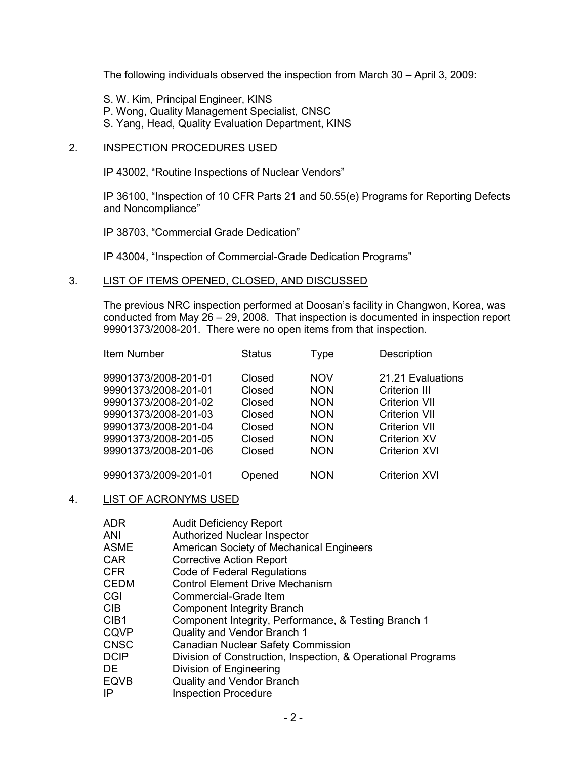The following individuals observed the inspection from March 30 – April 3, 2009:

- S. W. Kim, Principal Engineer, KINS
- P. Wong, Quality Management Specialist, CNSC
- S. Yang, Head, Quality Evaluation Department, KINS

## 2. INSPECTION PROCEDURES USED

IP 43002, "Routine Inspections of Nuclear Vendors"

IP 36100, "Inspection of 10 CFR Parts 21 and 50.55(e) Programs for Reporting Defects and Noncompliance"

IP 38703, "Commercial Grade Dedication"

IP 43004, "Inspection of Commercial-Grade Dedication Programs"

3. LIST OF ITEMS OPENED, CLOSED, AND DISCUSSED

The previous NRC inspection performed at Doosan's facility in Changwon, Korea, was conducted from May 26 – 29, 2008. That inspection is documented in inspection report 99901373/2008-201. There were no open items from that inspection.

| Item Number          | Status | Type       | Description          |
|----------------------|--------|------------|----------------------|
| 99901373/2008-201-01 | Closed | <b>NOV</b> | 21.21 Evaluations    |
| 99901373/2008-201-01 | Closed | <b>NON</b> | <b>Criterion III</b> |
| 99901373/2008-201-02 | Closed | <b>NON</b> | <b>Criterion VII</b> |
| 99901373/2008-201-03 | Closed | <b>NON</b> | <b>Criterion VII</b> |
| 99901373/2008-201-04 | Closed | <b>NON</b> | <b>Criterion VII</b> |
| 99901373/2008-201-05 | Closed | <b>NON</b> | <b>Criterion XV</b>  |
| 99901373/2008-201-06 | Closed | <b>NON</b> | <b>Criterion XVI</b> |
| 99901373/2009-201-01 | Opened | NON        | <b>Criterion XVI</b> |

#### 4. LIST OF ACRONYMS USED

| <b>ADR</b>       | <b>Audit Deficiency Report</b>                               |
|------------------|--------------------------------------------------------------|
| ANI              | <b>Authorized Nuclear Inspector</b>                          |
| <b>ASME</b>      | <b>American Society of Mechanical Engineers</b>              |
| <b>CAR</b>       | <b>Corrective Action Report</b>                              |
| <b>CFR</b>       | Code of Federal Regulations                                  |
| <b>CEDM</b>      | <b>Control Element Drive Mechanism</b>                       |
| CGI              | Commercial-Grade Item                                        |
| <b>CIB</b>       | <b>Component Integrity Branch</b>                            |
| CIB <sub>1</sub> | Component Integrity, Performance, & Testing Branch 1         |
| <b>CQVP</b>      | Quality and Vendor Branch 1                                  |
| <b>CNSC</b>      | Canadian Nuclear Safety Commission                           |
| <b>DCIP</b>      | Division of Construction, Inspection, & Operational Programs |
| DE.              | Division of Engineering                                      |
| <b>EQVB</b>      | <b>Quality and Vendor Branch</b>                             |
| IP               | <b>Inspection Procedure</b>                                  |